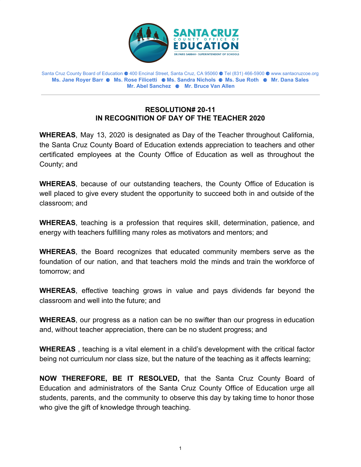

Santa Cruz County Board of Education ⚈ 400 Encinal Street, Santa Cruz, CA 95060 ⚈ Tel (831) 466-5900 ⚈ www.santacruzcoe.org **Ms. Jane Royer Barr** ⚈ **Ms. Rose Filicetti** ⚈ **Ms. Sandra Nichols** ⚈ **Ms. Sue Roth** ⚈ **Mr. Dana Sales Mr. Abel Sanchez** ⚈ **Mr. Bruce Van Allen**

## **RESOLUTION# 20-11 IN RECOGNITION OF DAY OF THE TEACHER 2020**

**WHEREAS**, May 13, 2020 is designated as Day of the Teacher throughout California, the Santa Cruz County Board of Education extends appreciation to teachers and other certificated employees at the County Office of Education as well as throughout the County; and

**WHEREAS**, because of our outstanding teachers, the County Office of Education is well placed to give every student the opportunity to succeed both in and outside of the classroom; and

**WHEREAS**, teaching is a profession that requires skill, determination, patience, and energy with teachers fulfilling many roles as motivators and mentors; and

**WHEREAS**, the Board recognizes that educated community members serve as the foundation of our nation, and that teachers mold the minds and train the workforce of tomorrow; and

**WHEREAS**, effective teaching grows in value and pays dividends far beyond the classroom and well into the future; and

**WHEREAS**, our progress as a nation can be no swifter than our progress in education and, without teacher appreciation, there can be no student progress; and

**WHEREAS** , teaching is a vital element in a child's development with the critical factor being not curriculum nor class size, but the nature of the teaching as it affects learning;

**NOW THEREFORE, BE IT RESOLVED,** that the Santa Cruz County Board of Education and administrators of the Santa Cruz County Office of Education urge all students, parents, and the community to observe this day by taking time to honor those who give the gift of knowledge through teaching.